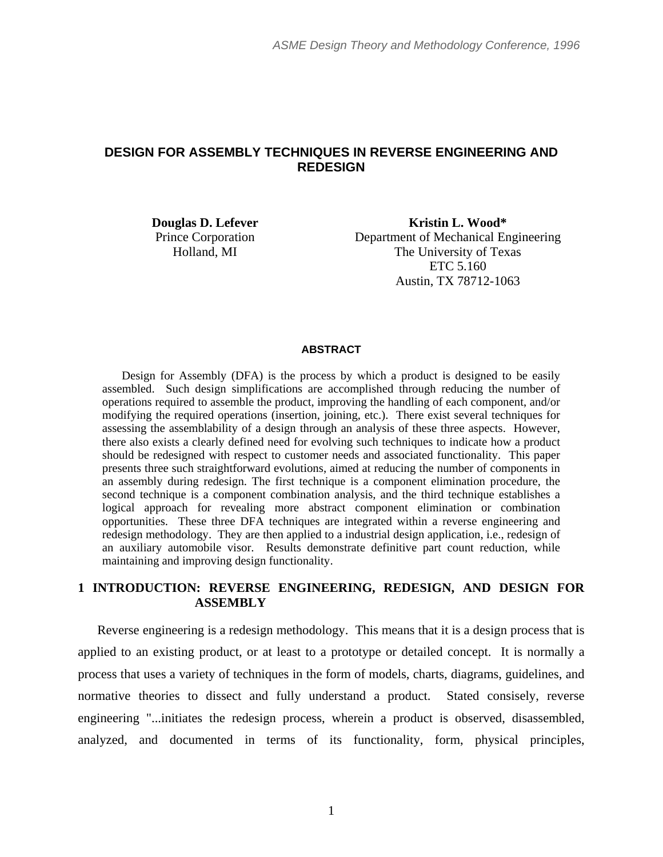# **DESIGN FOR ASSEMBLY TECHNIQUES IN REVERSE ENGINEERING AND REDESIGN**

**Douglas D. Lefever**  Prince Corporation Holland, MI

**Kristin L. Wood\***  Department of Mechanical Engineering The University of Texas ETC 5.160 Austin, TX 78712-1063

#### **ABSTRACT**

Design for Assembly (DFA) is the process by which a product is designed to be easily assembled. Such design simplifications are accomplished through reducing the number of operations required to assemble the product, improving the handling of each component, and/or modifying the required operations (insertion, joining, etc.). There exist several techniques for assessing the assemblability of a design through an analysis of these three aspects. However, there also exists a clearly defined need for evolving such techniques to indicate how a product should be redesigned with respect to customer needs and associated functionality. This paper presents three such straightforward evolutions, aimed at reducing the number of components in an assembly during redesign. The first technique is a component elimination procedure, the second technique is a component combination analysis, and the third technique establishes a logical approach for revealing more abstract component elimination or combination opportunities. These three DFA techniques are integrated within a reverse engineering and redesign methodology. They are then applied to a industrial design application, i.e., redesign of an auxiliary automobile visor. Results demonstrate definitive part count reduction, while maintaining and improving design functionality.

# **1 INTRODUCTION: REVERSE ENGINEERING, REDESIGN, AND DESIGN FOR ASSEMBLY**

Reverse engineering is a redesign methodology. This means that it is a design process that is applied to an existing product, or at least to a prototype or detailed concept. It is normally a process that uses a variety of techniques in the form of models, charts, diagrams, guidelines, and normative theories to dissect and fully understand a product. Stated consisely, reverse engineering "...initiates the redesign process, wherein a product is observed, disassembled, analyzed, and documented in terms of its functionality, form, physical principles,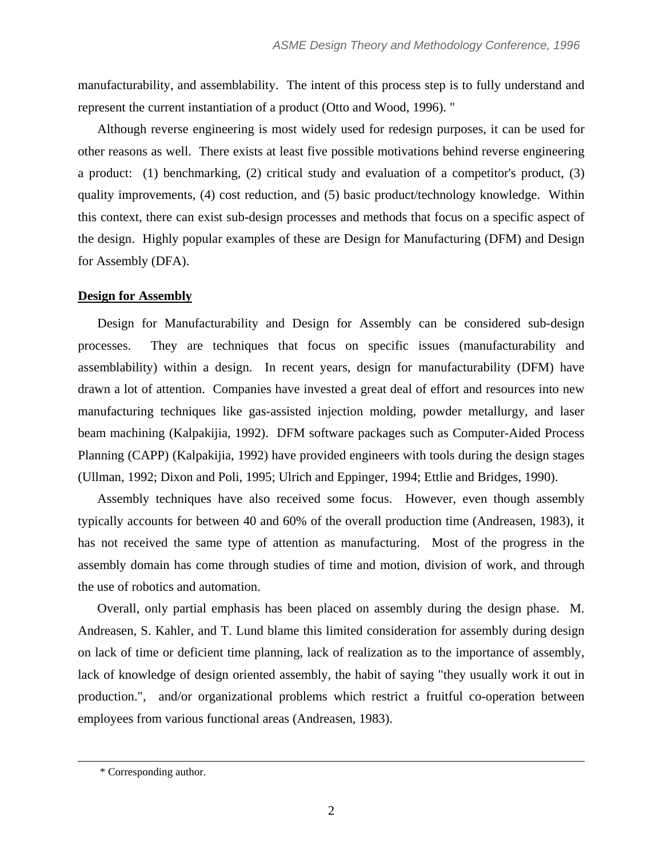manufacturability, and assemblability. The intent of this process step is to fully understand and represent the current instantiation of a product (Otto and Wood, 1996). "

Although reverse engineering is most widely used for redesign purposes, it can be used for other reasons as well. There exists at least five possible motivations behind reverse engineering a product: (1) benchmarking, (2) critical study and evaluation of a competitor's product, (3) quality improvements, (4) cost reduction, and (5) basic product/technology knowledge. Within this context, there can exist sub-design processes and methods that focus on a specific aspect of the design. Highly popular examples of these are Design for Manufacturing (DFM) and Design for Assembly (DFA).

# **Design for Assembly**

Design for Manufacturability and Design for Assembly can be considered sub-design processes. They are techniques that focus on specific issues (manufacturability and assemblability) within a design. In recent years, design for manufacturability (DFM) have drawn a lot of attention. Companies have invested a great deal of effort and resources into new manufacturing techniques like gas-assisted injection molding, powder metallurgy, and laser beam machining (Kalpakijia, 1992). DFM software packages such as Computer-Aided Process Planning (CAPP) (Kalpakijia, 1992) have provided engineers with tools during the design stages (Ullman, 1992; Dixon and Poli, 1995; Ulrich and Eppinger, 1994; Ettlie and Bridges, 1990).

Assembly techniques have also received some focus. However, even though assembly typically accounts for between 40 and 60% of the overall production time (Andreasen, 1983), it has not received the same type of attention as manufacturing. Most of the progress in the assembly domain has come through studies of time and motion, division of work, and through the use of robotics and automation.

Overall, only partial emphasis has been placed on assembly during the design phase. M. Andreasen, S. Kahler, and T. Lund blame this limited consideration for assembly during design on lack of time or deficient time planning, lack of realization as to the importance of assembly, lack of knowledge of design oriented assembly, the habit of saying "they usually work it out in production.", and/or organizational problems which restrict a fruitful co-operation between employees from various functional areas (Andreasen, 1983).

 $\overline{a}$ 

<sup>\*</sup> Corresponding author.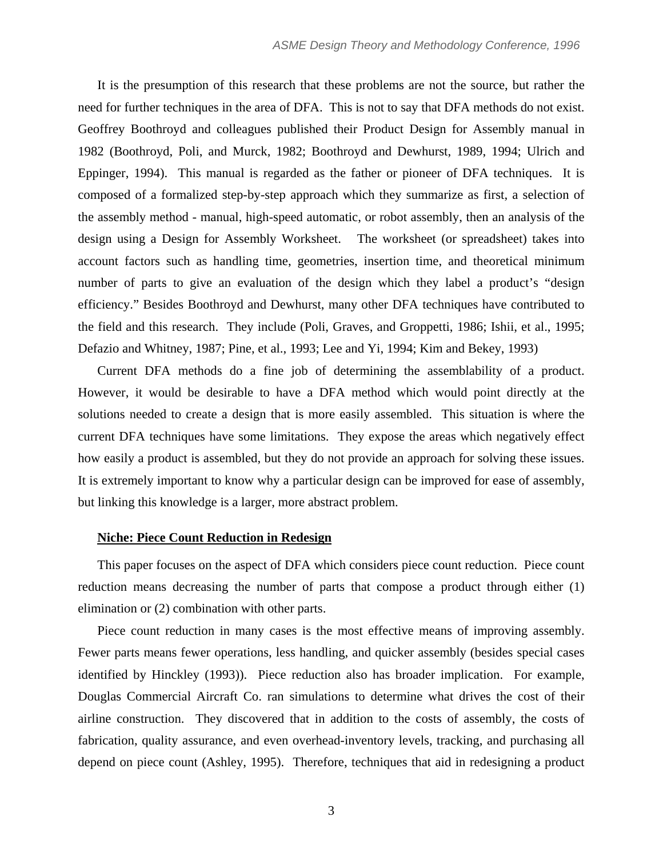It is the presumption of this research that these problems are not the source, but rather the need for further techniques in the area of DFA. This is not to say that DFA methods do not exist. Geoffrey Boothroyd and colleagues published their Product Design for Assembly manual in 1982 (Boothroyd, Poli, and Murck, 1982; Boothroyd and Dewhurst, 1989, 1994; Ulrich and Eppinger, 1994). This manual is regarded as the father or pioneer of DFA techniques. It is composed of a formalized step-by-step approach which they summarize as first, a selection of the assembly method - manual, high-speed automatic, or robot assembly, then an analysis of the design using a Design for Assembly Worksheet. The worksheet (or spreadsheet) takes into account factors such as handling time, geometries, insertion time, and theoretical minimum number of parts to give an evaluation of the design which they label a product's "design efficiency." Besides Boothroyd and Dewhurst, many other DFA techniques have contributed to the field and this research. They include (Poli, Graves, and Groppetti, 1986; Ishii, et al., 1995; Defazio and Whitney, 1987; Pine, et al., 1993; Lee and Yi, 1994; Kim and Bekey, 1993)

Current DFA methods do a fine job of determining the assemblability of a product. However, it would be desirable to have a DFA method which would point directly at the solutions needed to create a design that is more easily assembled. This situation is where the current DFA techniques have some limitations. They expose the areas which negatively effect how easily a product is assembled, but they do not provide an approach for solving these issues. It is extremely important to know why a particular design can be improved for ease of assembly, but linking this knowledge is a larger, more abstract problem.

#### **Niche: Piece Count Reduction in Redesign**

This paper focuses on the aspect of DFA which considers piece count reduction. Piece count reduction means decreasing the number of parts that compose a product through either (1) elimination or (2) combination with other parts.

Piece count reduction in many cases is the most effective means of improving assembly. Fewer parts means fewer operations, less handling, and quicker assembly (besides special cases identified by Hinckley (1993)). Piece reduction also has broader implication. For example, Douglas Commercial Aircraft Co. ran simulations to determine what drives the cost of their airline construction. They discovered that in addition to the costs of assembly, the costs of fabrication, quality assurance, and even overhead-inventory levels, tracking, and purchasing all depend on piece count (Ashley, 1995). Therefore, techniques that aid in redesigning a product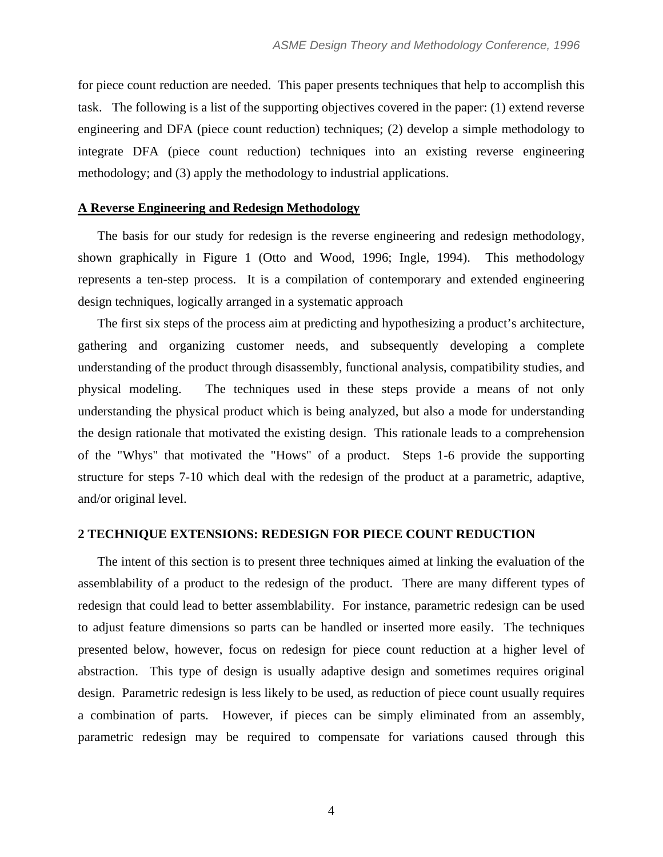for piece count reduction are needed. This paper presents techniques that help to accomplish this task. The following is a list of the supporting objectives covered in the paper: (1) extend reverse engineering and DFA (piece count reduction) techniques; (2) develop a simple methodology to integrate DFA (piece count reduction) techniques into an existing reverse engineering methodology; and (3) apply the methodology to industrial applications.

### **A Reverse Engineering and Redesign Methodology**

The basis for our study for redesign is the reverse engineering and redesign methodology, shown graphically in Figure 1 (Otto and Wood, 1996; Ingle, 1994). This methodology represents a ten-step process. It is a compilation of contemporary and extended engineering design techniques, logically arranged in a systematic approach

The first six steps of the process aim at predicting and hypothesizing a product's architecture, gathering and organizing customer needs, and subsequently developing a complete understanding of the product through disassembly, functional analysis, compatibility studies, and physical modeling. The techniques used in these steps provide a means of not only understanding the physical product which is being analyzed, but also a mode for understanding the design rationale that motivated the existing design. This rationale leads to a comprehension of the "Whys" that motivated the "Hows" of a product. Steps 1-6 provide the supporting structure for steps 7-10 which deal with the redesign of the product at a parametric, adaptive, and/or original level.

### **2 TECHNIQUE EXTENSIONS: REDESIGN FOR PIECE COUNT REDUCTION**

The intent of this section is to present three techniques aimed at linking the evaluation of the assemblability of a product to the redesign of the product. There are many different types of redesign that could lead to better assemblability. For instance, parametric redesign can be used to adjust feature dimensions so parts can be handled or inserted more easily. The techniques presented below, however, focus on redesign for piece count reduction at a higher level of abstraction. This type of design is usually adaptive design and sometimes requires original design. Parametric redesign is less likely to be used, as reduction of piece count usually requires a combination of parts. However, if pieces can be simply eliminated from an assembly, parametric redesign may be required to compensate for variations caused through this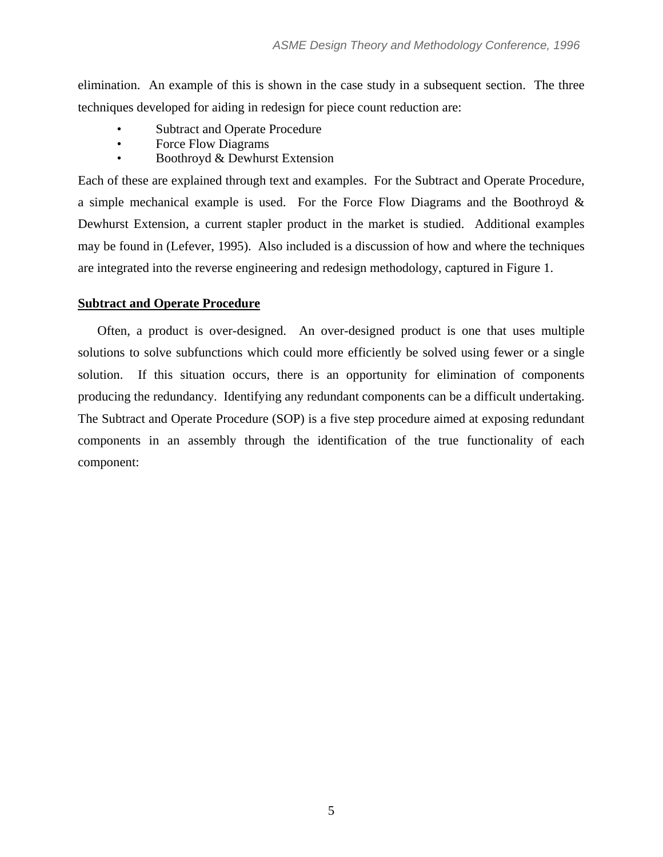elimination. An example of this is shown in the case study in a subsequent section. The three techniques developed for aiding in redesign for piece count reduction are:

- Subtract and Operate Procedure
- Force Flow Diagrams
- Boothroyd & Dewhurst Extension

Each of these are explained through text and examples. For the Subtract and Operate Procedure, a simple mechanical example is used. For the Force Flow Diagrams and the Boothroyd & Dewhurst Extension, a current stapler product in the market is studied. Additional examples may be found in (Lefever, 1995). Also included is a discussion of how and where the techniques are integrated into the reverse engineering and redesign methodology, captured in Figure 1.

# **Subtract and Operate Procedure**

Often, a product is over-designed. An over-designed product is one that uses multiple solutions to solve subfunctions which could more efficiently be solved using fewer or a single solution. If this situation occurs, there is an opportunity for elimination of components producing the redundancy. Identifying any redundant components can be a difficult undertaking. The Subtract and Operate Procedure (SOP) is a five step procedure aimed at exposing redundant components in an assembly through the identification of the true functionality of each component: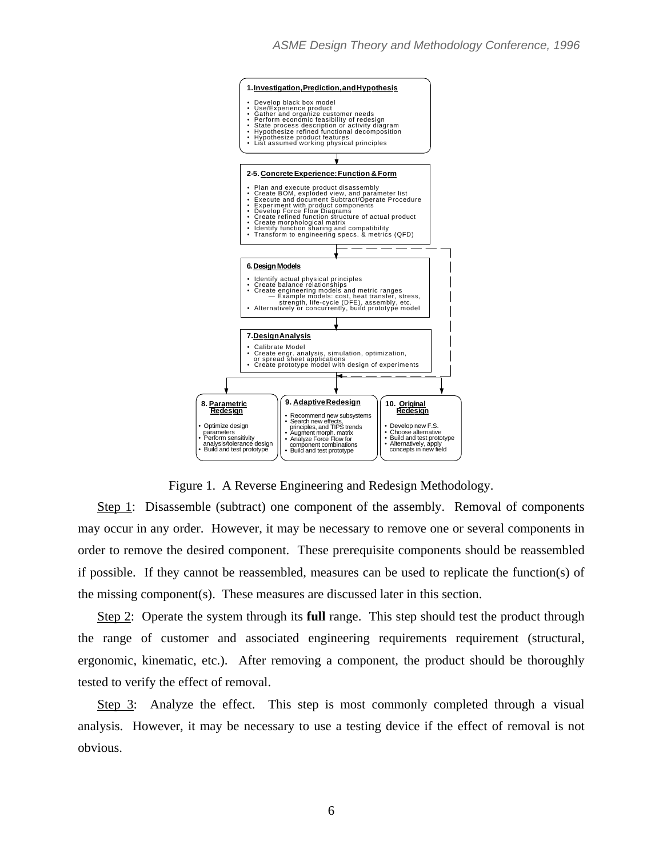

Figure 1. A Reverse Engineering and Redesign Methodology.

Step 1: Disassemble (subtract) one component of the assembly. Removal of components may occur in any order. However, it may be necessary to remove one or several components in order to remove the desired component. These prerequisite components should be reassembled if possible. If they cannot be reassembled, measures can be used to replicate the function(s) of the missing component(s). These measures are discussed later in this section.

Step 2: Operate the system through its **full** range. This step should test the product through the range of customer and associated engineering requirements requirement (structural, ergonomic, kinematic, etc.). After removing a component, the product should be thoroughly tested to verify the effect of removal.

Step 3: Analyze the effect. This step is most commonly completed through a visual analysis. However, it may be necessary to use a testing device if the effect of removal is not obvious.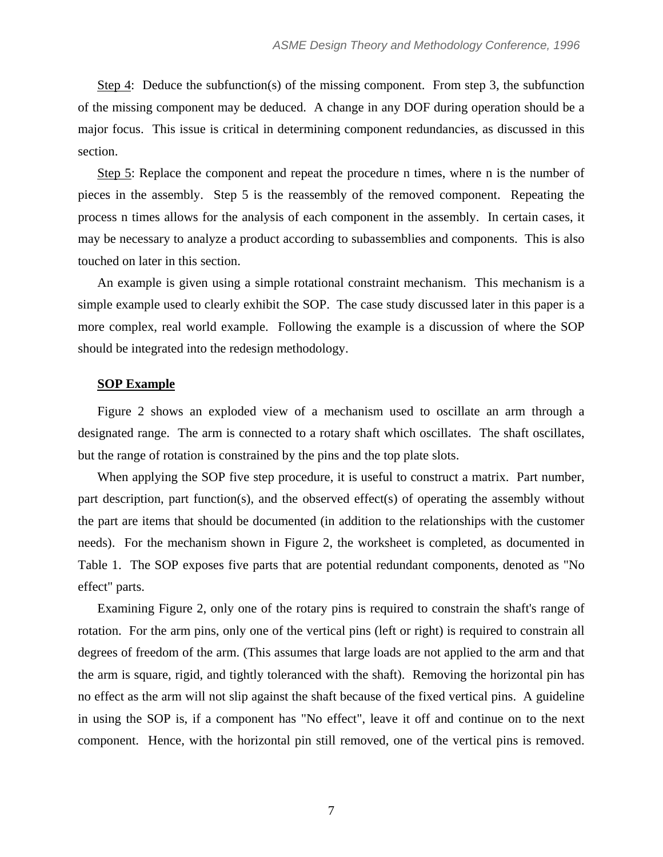Step 4: Deduce the subfunction(s) of the missing component. From step 3, the subfunction of the missing component may be deduced. A change in any DOF during operation should be a major focus. This issue is critical in determining component redundancies, as discussed in this section.

Step 5: Replace the component and repeat the procedure n times, where n is the number of pieces in the assembly. Step 5 is the reassembly of the removed component. Repeating the process n times allows for the analysis of each component in the assembly. In certain cases, it may be necessary to analyze a product according to subassemblies and components. This is also touched on later in this section.

An example is given using a simple rotational constraint mechanism. This mechanism is a simple example used to clearly exhibit the SOP. The case study discussed later in this paper is a more complex, real world example. Following the example is a discussion of where the SOP should be integrated into the redesign methodology.

# **SOP Example**

Figure 2 shows an exploded view of a mechanism used to oscillate an arm through a designated range. The arm is connected to a rotary shaft which oscillates. The shaft oscillates, but the range of rotation is constrained by the pins and the top plate slots.

When applying the SOP five step procedure, it is useful to construct a matrix. Part number, part description, part function(s), and the observed effect(s) of operating the assembly without the part are items that should be documented (in addition to the relationships with the customer needs). For the mechanism shown in Figure 2, the worksheet is completed, as documented in Table 1. The SOP exposes five parts that are potential redundant components, denoted as "No effect" parts.

Examining Figure 2, only one of the rotary pins is required to constrain the shaft's range of rotation. For the arm pins, only one of the vertical pins (left or right) is required to constrain all degrees of freedom of the arm. (This assumes that large loads are not applied to the arm and that the arm is square, rigid, and tightly toleranced with the shaft). Removing the horizontal pin has no effect as the arm will not slip against the shaft because of the fixed vertical pins. A guideline in using the SOP is, if a component has "No effect", leave it off and continue on to the next component. Hence, with the horizontal pin still removed, one of the vertical pins is removed.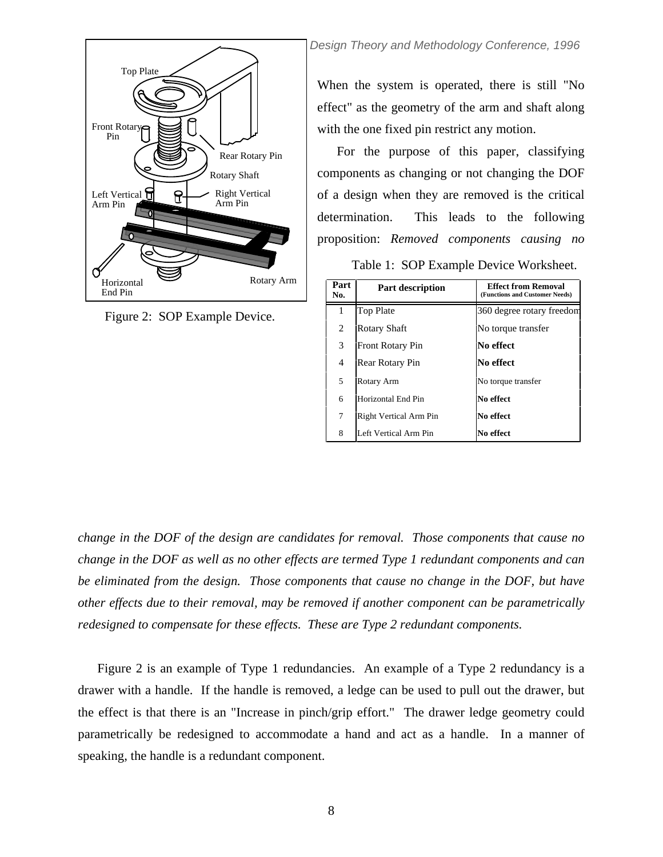

Figure 2: SOP Example Device.

**Design Theory and Methodology Conference, 1996** 

When the system is operated, there is still "No effect" as the geometry of the arm and shaft along with the one fixed pin restrict any motion.

For the purpose of this paper, classifying components as changing or not changing the DOF of a design when they are removed is the critical determination. This leads to the following proposition: *Removed components causing no* 

Table 1: SOP Example Device Worksheet.

| Part<br>No. | <b>Part description</b> | <b>Effect from Removal</b><br>(Functions and Customer Needs) |  |  |
|-------------|-------------------------|--------------------------------------------------------------|--|--|
| 1           | <b>Top Plate</b>        | 360 degree rotary freedom                                    |  |  |
| 2           | Rotary Shaft            | No torque transfer                                           |  |  |
| 3           | <b>Front Rotary Pin</b> | No effect                                                    |  |  |
| 4           | Rear Rotary Pin         | No effect                                                    |  |  |
| 5           | Rotary Arm              | No torque transfer                                           |  |  |
| 6           | Horizontal End Pin      | No effect                                                    |  |  |
| 7           | Right Vertical Arm Pin  | No effect                                                    |  |  |
| 8           | Left Vertical Arm Pin   | No effect                                                    |  |  |

*change in the DOF of the design are candidates for removal. Those components that cause no change in the DOF as well as no other effects are termed Type 1 redundant components and can be eliminated from the design. Those components that cause no change in the DOF, but have other effects due to their removal, may be removed if another component can be parametrically redesigned to compensate for these effects. These are Type 2 redundant components.* 

Figure 2 is an example of Type 1 redundancies. An example of a Type 2 redundancy is a drawer with a handle. If the handle is removed, a ledge can be used to pull out the drawer, but the effect is that there is an "Increase in pinch/grip effort." The drawer ledge geometry could parametrically be redesigned to accommodate a hand and act as a handle. In a manner of speaking, the handle is a redundant component.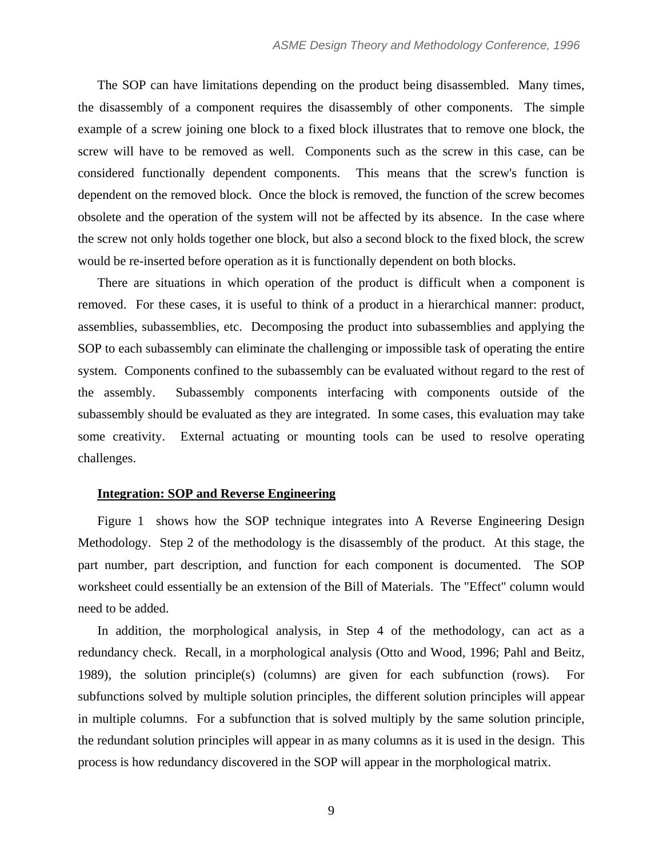The SOP can have limitations depending on the product being disassembled. Many times, the disassembly of a component requires the disassembly of other components. The simple example of a screw joining one block to a fixed block illustrates that to remove one block, the screw will have to be removed as well. Components such as the screw in this case, can be considered functionally dependent components. This means that the screw's function is dependent on the removed block. Once the block is removed, the function of the screw becomes obsolete and the operation of the system will not be affected by its absence. In the case where the screw not only holds together one block, but also a second block to the fixed block, the screw would be re-inserted before operation as it is functionally dependent on both blocks.

There are situations in which operation of the product is difficult when a component is removed. For these cases, it is useful to think of a product in a hierarchical manner: product, assemblies, subassemblies, etc. Decomposing the product into subassemblies and applying the SOP to each subassembly can eliminate the challenging or impossible task of operating the entire system. Components confined to the subassembly can be evaluated without regard to the rest of the assembly. Subassembly components interfacing with components outside of the subassembly should be evaluated as they are integrated. In some cases, this evaluation may take some creativity. External actuating or mounting tools can be used to resolve operating challenges.

## **Integration: SOP and Reverse Engineering**

Figure 1 shows how the SOP technique integrates into A Reverse Engineering Design Methodology. Step 2 of the methodology is the disassembly of the product. At this stage, the part number, part description, and function for each component is documented. The SOP worksheet could essentially be an extension of the Bill of Materials. The "Effect" column would need to be added.

In addition, the morphological analysis, in Step 4 of the methodology, can act as a redundancy check. Recall, in a morphological analysis (Otto and Wood, 1996; Pahl and Beitz, 1989), the solution principle(s) (columns) are given for each subfunction (rows). For subfunctions solved by multiple solution principles, the different solution principles will appear in multiple columns. For a subfunction that is solved multiply by the same solution principle, the redundant solution principles will appear in as many columns as it is used in the design. This process is how redundancy discovered in the SOP will appear in the morphological matrix.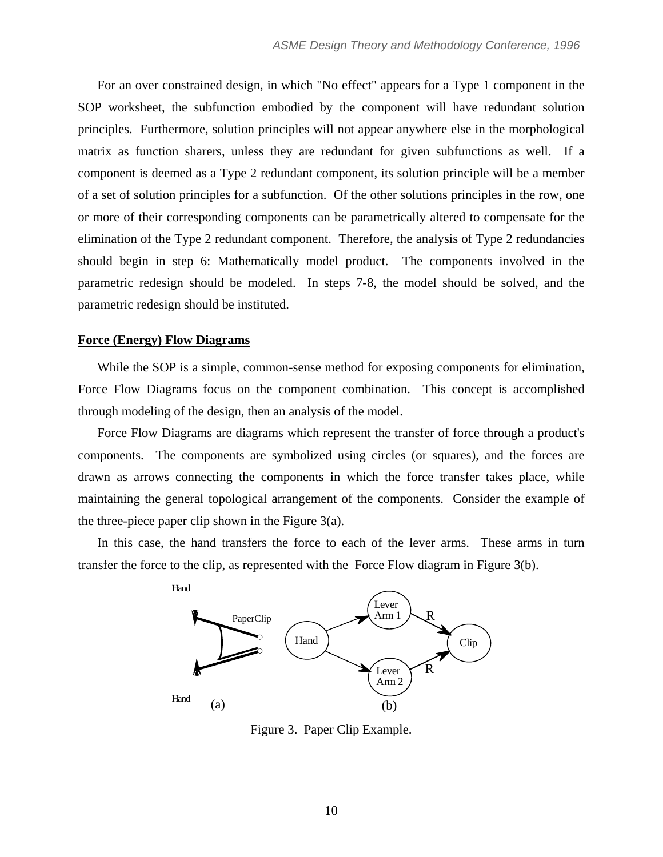For an over constrained design, in which "No effect" appears for a Type 1 component in the SOP worksheet, the subfunction embodied by the component will have redundant solution principles. Furthermore, solution principles will not appear anywhere else in the morphological matrix as function sharers, unless they are redundant for given subfunctions as well. If a component is deemed as a Type 2 redundant component, its solution principle will be a member of a set of solution principles for a subfunction. Of the other solutions principles in the row, one or more of their corresponding components can be parametrically altered to compensate for the elimination of the Type 2 redundant component. Therefore, the analysis of Type 2 redundancies should begin in step 6: Mathematically model product. The components involved in the parametric redesign should be modeled. In steps 7-8, the model should be solved, and the parametric redesign should be instituted.

# **Force (Energy) Flow Diagrams**

While the SOP is a simple, common-sense method for exposing components for elimination, Force Flow Diagrams focus on the component combination. This concept is accomplished through modeling of the design, then an analysis of the model.

Force Flow Diagrams are diagrams which represent the transfer of force through a product's components. The components are symbolized using circles (or squares), and the forces are drawn as arrows connecting the components in which the force transfer takes place, while maintaining the general topological arrangement of the components. Consider the example of the three-piece paper clip shown in the Figure  $3(a)$ .

In this case, the hand transfers the force to each of the lever arms. These arms in turn transfer the force to the clip, as represented with the Force Flow diagram in Figure 3(b).



Figure 3. Paper Clip Example.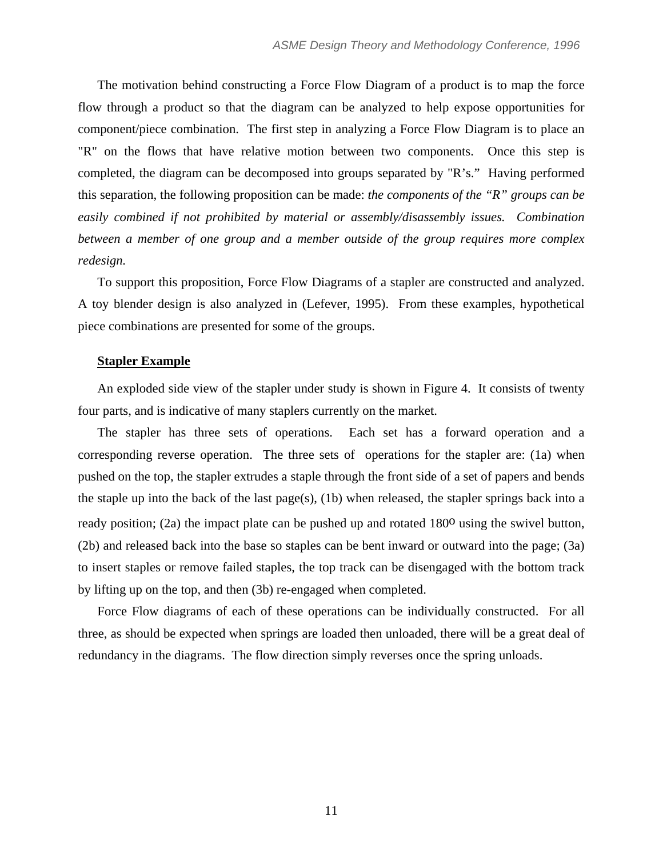The motivation behind constructing a Force Flow Diagram of a product is to map the force flow through a product so that the diagram can be analyzed to help expose opportunities for component/piece combination. The first step in analyzing a Force Flow Diagram is to place an "R" on the flows that have relative motion between two components. Once this step is completed, the diagram can be decomposed into groups separated by "R's." Having performed this separation, the following proposition can be made: *the components of the "R" groups can be easily combined if not prohibited by material or assembly/disassembly issues. Combination between a member of one group and a member outside of the group requires more complex redesign.*

To support this proposition, Force Flow Diagrams of a stapler are constructed and analyzed. A toy blender design is also analyzed in (Lefever, 1995). From these examples, hypothetical piece combinations are presented for some of the groups.

### **Stapler Example**

An exploded side view of the stapler under study is shown in Figure 4. It consists of twenty four parts, and is indicative of many staplers currently on the market.

The stapler has three sets of operations. Each set has a forward operation and a corresponding reverse operation. The three sets of operations for the stapler are: (1a) when pushed on the top, the stapler extrudes a staple through the front side of a set of papers and bends the staple up into the back of the last page(s), (1b) when released, the stapler springs back into a ready position; (2a) the impact plate can be pushed up and rotated 180<sup>o</sup> using the swivel button, (2b) and released back into the base so staples can be bent inward or outward into the page; (3a) to insert staples or remove failed staples, the top track can be disengaged with the bottom track by lifting up on the top, and then (3b) re-engaged when completed.

Force Flow diagrams of each of these operations can be individually constructed. For all three, as should be expected when springs are loaded then unloaded, there will be a great deal of redundancy in the diagrams. The flow direction simply reverses once the spring unloads.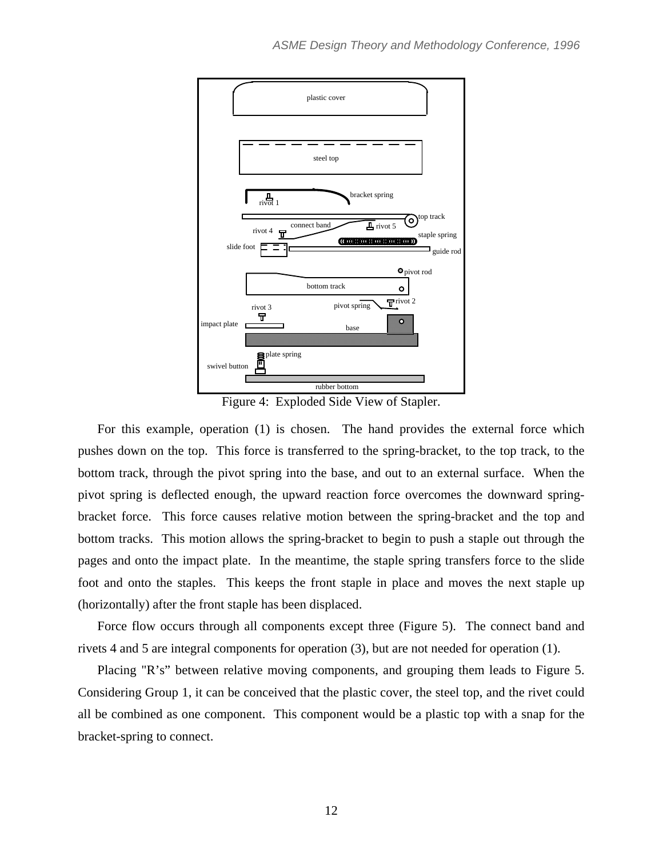

Figure 4: Exploded Side View of Stapler.

For this example, operation (1) is chosen. The hand provides the external force which pushes down on the top. This force is transferred to the spring-bracket, to the top track, to the bottom track, through the pivot spring into the base, and out to an external surface. When the pivot spring is deflected enough, the upward reaction force overcomes the downward springbracket force. This force causes relative motion between the spring-bracket and the top and bottom tracks. This motion allows the spring-bracket to begin to push a staple out through the pages and onto the impact plate. In the meantime, the staple spring transfers force to the slide foot and onto the staples. This keeps the front staple in place and moves the next staple up (horizontally) after the front staple has been displaced.

Force flow occurs through all components except three (Figure 5). The connect band and rivets 4 and 5 are integral components for operation (3), but are not needed for operation (1).

Placing "R's" between relative moving components, and grouping them leads to Figure 5. Considering Group 1, it can be conceived that the plastic cover, the steel top, and the rivet could all be combined as one component. This component would be a plastic top with a snap for the bracket-spring to connect.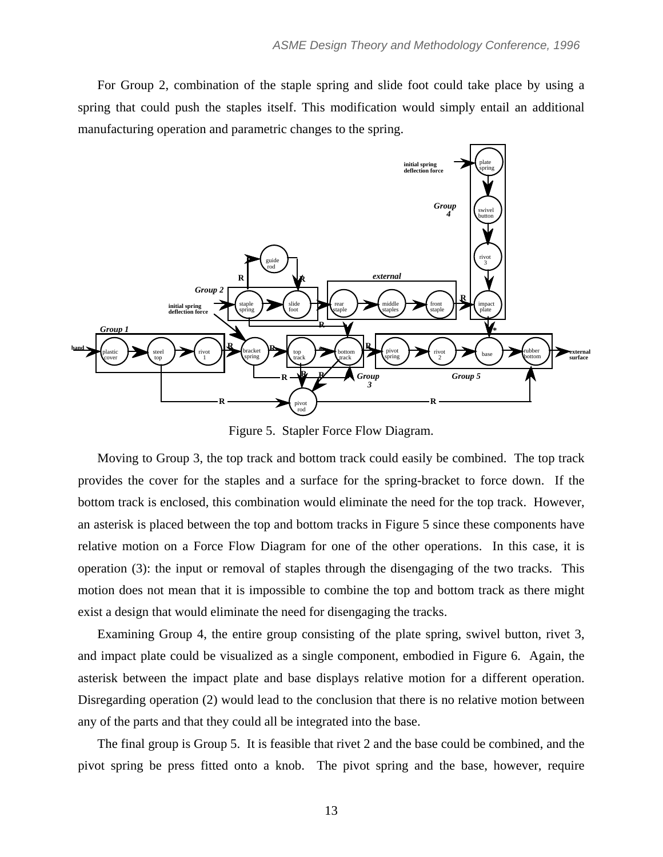For Group 2, combination of the staple spring and slide foot could take place by using a spring that could push the staples itself. This modification would simply entail an additional manufacturing operation and parametric changes to the spring.



Figure 5. Stapler Force Flow Diagram.

Moving to Group 3, the top track and bottom track could easily be combined. The top track provides the cover for the staples and a surface for the spring-bracket to force down. If the bottom track is enclosed, this combination would eliminate the need for the top track. However, an asterisk is placed between the top and bottom tracks in Figure 5 since these components have relative motion on a Force Flow Diagram for one of the other operations. In this case, it is operation (3): the input or removal of staples through the disengaging of the two tracks. This motion does not mean that it is impossible to combine the top and bottom track as there might exist a design that would eliminate the need for disengaging the tracks.

Examining Group 4, the entire group consisting of the plate spring, swivel button, rivet 3, and impact plate could be visualized as a single component, embodied in Figure 6. Again, the asterisk between the impact plate and base displays relative motion for a different operation. Disregarding operation (2) would lead to the conclusion that there is no relative motion between any of the parts and that they could all be integrated into the base.

The final group is Group 5. It is feasible that rivet 2 and the base could be combined, and the pivot spring be press fitted onto a knob. The pivot spring and the base, however, require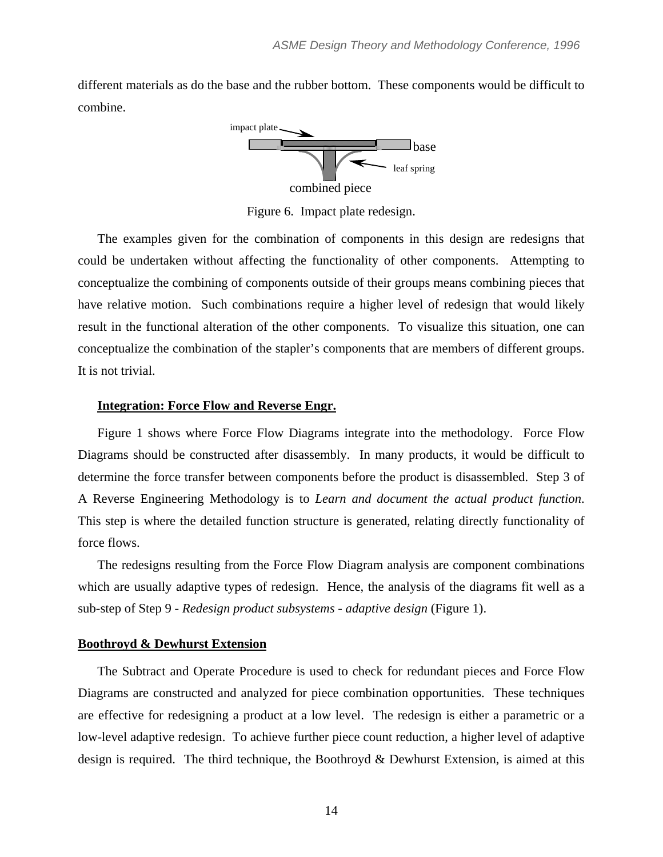different materials as do the base and the rubber bottom. These components would be difficult to combine.



Figure 6. Impact plate redesign.

The examples given for the combination of components in this design are redesigns that could be undertaken without affecting the functionality of other components. Attempting to conceptualize the combining of components outside of their groups means combining pieces that have relative motion. Such combinations require a higher level of redesign that would likely result in the functional alteration of the other components. To visualize this situation, one can conceptualize the combination of the stapler's components that are members of different groups. It is not trivial.

### **Integration: Force Flow and Reverse Engr.**

Figure 1 shows where Force Flow Diagrams integrate into the methodology. Force Flow Diagrams should be constructed after disassembly. In many products, it would be difficult to determine the force transfer between components before the product is disassembled. Step 3 of A Reverse Engineering Methodology is to *Learn and document the actual product function*. This step is where the detailed function structure is generated, relating directly functionality of force flows.

The redesigns resulting from the Force Flow Diagram analysis are component combinations which are usually adaptive types of redesign. Hence, the analysis of the diagrams fit well as a sub-step of Step 9 - *Redesign product subsystems - adaptive design* (Figure 1).

### **Boothroyd & Dewhurst Extension**

The Subtract and Operate Procedure is used to check for redundant pieces and Force Flow Diagrams are constructed and analyzed for piece combination opportunities. These techniques are effective for redesigning a product at a low level. The redesign is either a parametric or a low-level adaptive redesign. To achieve further piece count reduction, a higher level of adaptive design is required. The third technique, the Boothroyd & Dewhurst Extension, is aimed at this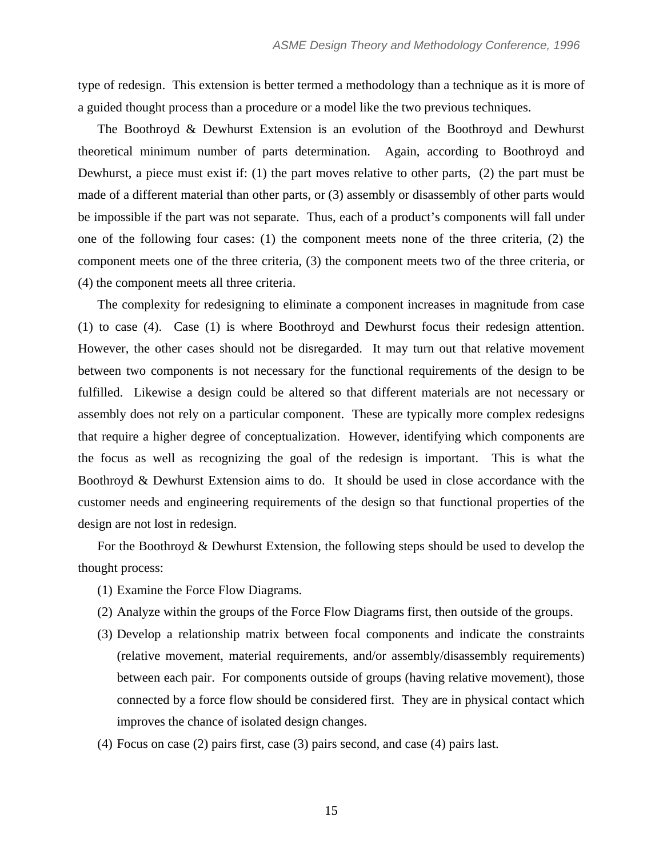type of redesign. This extension is better termed a methodology than a technique as it is more of a guided thought process than a procedure or a model like the two previous techniques.

The Boothroyd & Dewhurst Extension is an evolution of the Boothroyd and Dewhurst theoretical minimum number of parts determination. Again, according to Boothroyd and Dewhurst, a piece must exist if: (1) the part moves relative to other parts, (2) the part must be made of a different material than other parts, or (3) assembly or disassembly of other parts would be impossible if the part was not separate. Thus, each of a product's components will fall under one of the following four cases: (1) the component meets none of the three criteria, (2) the component meets one of the three criteria, (3) the component meets two of the three criteria, or (4) the component meets all three criteria.

The complexity for redesigning to eliminate a component increases in magnitude from case (1) to case (4). Case (1) is where Boothroyd and Dewhurst focus their redesign attention. However, the other cases should not be disregarded. It may turn out that relative movement between two components is not necessary for the functional requirements of the design to be fulfilled. Likewise a design could be altered so that different materials are not necessary or assembly does not rely on a particular component. These are typically more complex redesigns that require a higher degree of conceptualization. However, identifying which components are the focus as well as recognizing the goal of the redesign is important. This is what the Boothroyd & Dewhurst Extension aims to do. It should be used in close accordance with the customer needs and engineering requirements of the design so that functional properties of the design are not lost in redesign.

For the Boothroyd & Dewhurst Extension, the following steps should be used to develop the thought process:

- (1) Examine the Force Flow Diagrams.
- (2) Analyze within the groups of the Force Flow Diagrams first, then outside of the groups.
- (3) Develop a relationship matrix between focal components and indicate the constraints (relative movement, material requirements, and/or assembly/disassembly requirements) between each pair. For components outside of groups (having relative movement), those connected by a force flow should be considered first. They are in physical contact which improves the chance of isolated design changes.
- (4) Focus on case (2) pairs first, case (3) pairs second, and case (4) pairs last.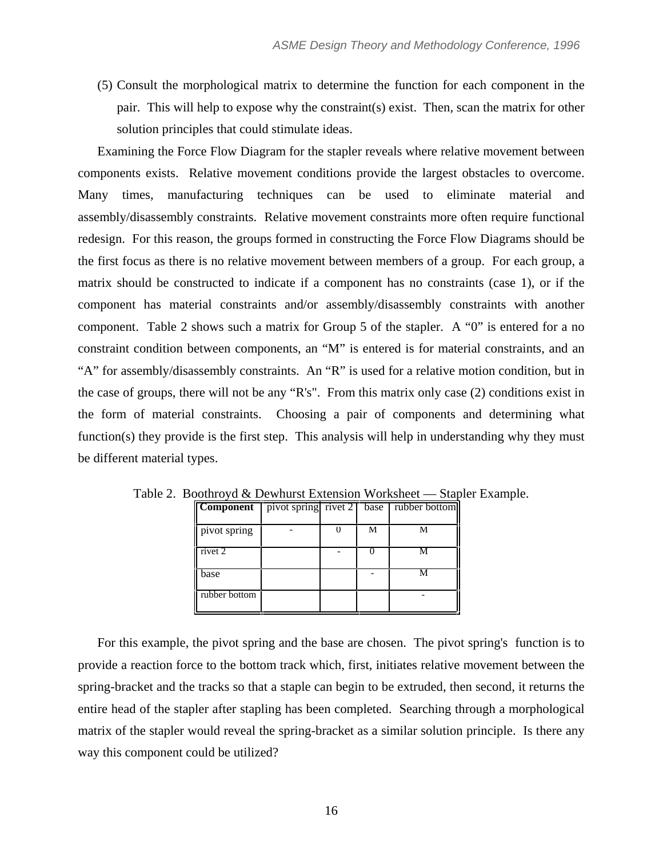(5) Consult the morphological matrix to determine the function for each component in the pair. This will help to expose why the constraint(s) exist. Then, scan the matrix for other solution principles that could stimulate ideas.

Examining the Force Flow Diagram for the stapler reveals where relative movement between components exists. Relative movement conditions provide the largest obstacles to overcome. Many times, manufacturing techniques can be used to eliminate material and assembly/disassembly constraints. Relative movement constraints more often require functional redesign. For this reason, the groups formed in constructing the Force Flow Diagrams should be the first focus as there is no relative movement between members of a group. For each group, a matrix should be constructed to indicate if a component has no constraints (case 1), or if the component has material constraints and/or assembly/disassembly constraints with another component. Table 2 shows such a matrix for Group 5 of the stapler. A "0" is entered for a no constraint condition between components, an "M" is entered is for material constraints, and an "A" for assembly/disassembly constraints. An "R" is used for a relative motion condition, but in the case of groups, there will not be any "R's". From this matrix only case (2) conditions exist in the form of material constraints. Choosing a pair of components and determining what function(s) they provide is the first step. This analysis will help in understanding why they must be different material types.

| <b>Component</b> | pivot spring rivet $2 \mid$ | base | rubber bottom |
|------------------|-----------------------------|------|---------------|
|                  |                             |      |               |
| pivot spring     |                             | М    | М             |
| rivet 2          |                             |      |               |
| base             |                             |      | м             |
| rubber bottom    |                             |      |               |

Table 2. Boothroyd & Dewhurst Extension Worksheet — Stapler Example.

For this example, the pivot spring and the base are chosen. The pivot spring's function is to provide a reaction force to the bottom track which, first, initiates relative movement between the spring-bracket and the tracks so that a staple can begin to be extruded, then second, it returns the entire head of the stapler after stapling has been completed. Searching through a morphological matrix of the stapler would reveal the spring-bracket as a similar solution principle. Is there any way this component could be utilized?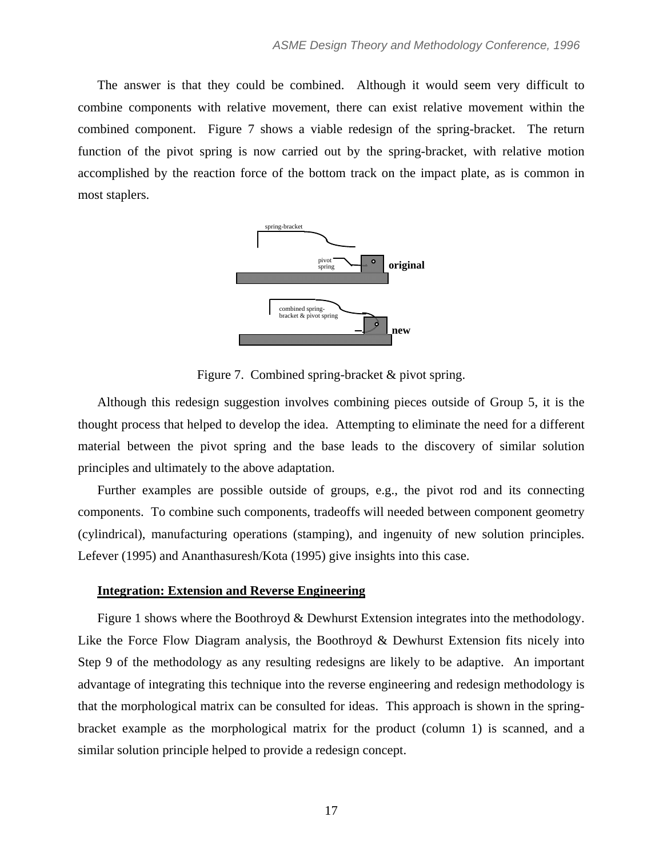The answer is that they could be combined. Although it would seem very difficult to combine components with relative movement, there can exist relative movement within the combined component. Figure 7 shows a viable redesign of the spring-bracket. The return function of the pivot spring is now carried out by the spring-bracket, with relative motion accomplished by the reaction force of the bottom track on the impact plate, as is common in most staplers.



Figure 7. Combined spring-bracket & pivot spring.

Although this redesign suggestion involves combining pieces outside of Group 5, it is the thought process that helped to develop the idea. Attempting to eliminate the need for a different material between the pivot spring and the base leads to the discovery of similar solution principles and ultimately to the above adaptation.

Further examples are possible outside of groups, e.g., the pivot rod and its connecting components. To combine such components, tradeoffs will needed between component geometry (cylindrical), manufacturing operations (stamping), and ingenuity of new solution principles. Lefever (1995) and Ananthasuresh/Kota (1995) give insights into this case.

# **Integration: Extension and Reverse Engineering**

Figure 1 shows where the Boothroyd & Dewhurst Extension integrates into the methodology. Like the Force Flow Diagram analysis, the Boothroyd & Dewhurst Extension fits nicely into Step 9 of the methodology as any resulting redesigns are likely to be adaptive. An important advantage of integrating this technique into the reverse engineering and redesign methodology is that the morphological matrix can be consulted for ideas. This approach is shown in the springbracket example as the morphological matrix for the product (column 1) is scanned, and a similar solution principle helped to provide a redesign concept.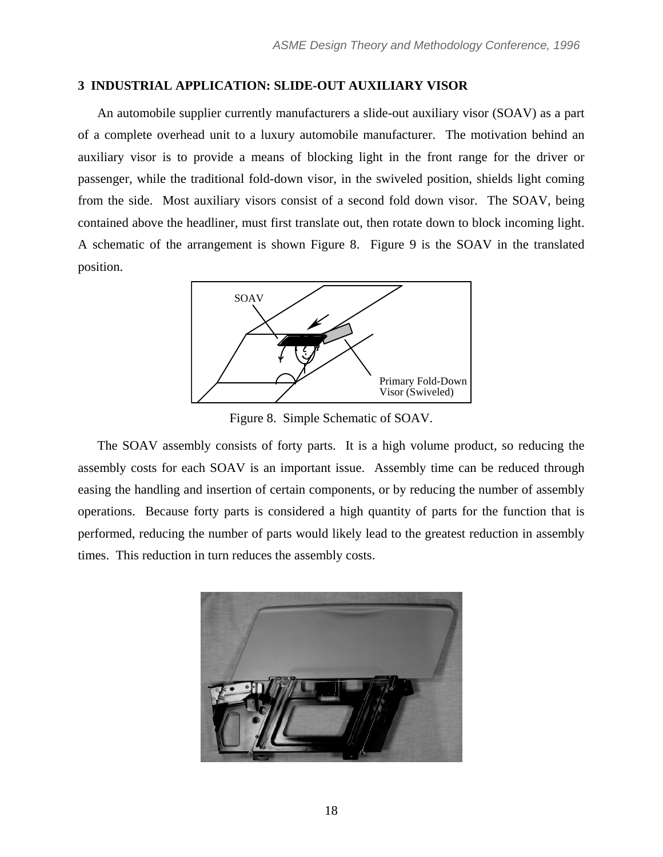# **3 INDUSTRIAL APPLICATION: SLIDE-OUT AUXILIARY VISOR**

An automobile supplier currently manufacturers a slide-out auxiliary visor (SOAV) as a part of a complete overhead unit to a luxury automobile manufacturer. The motivation behind an auxiliary visor is to provide a means of blocking light in the front range for the driver or passenger, while the traditional fold-down visor, in the swiveled position, shields light coming from the side. Most auxiliary visors consist of a second fold down visor. The SOAV, being contained above the headliner, must first translate out, then rotate down to block incoming light. A schematic of the arrangement is shown Figure 8. Figure 9 is the SOAV in the translated position.



Figure 8. Simple Schematic of SOAV.

The SOAV assembly consists of forty parts. It is a high volume product, so reducing the assembly costs for each SOAV is an important issue. Assembly time can be reduced through easing the handling and insertion of certain components, or by reducing the number of assembly operations. Because forty parts is considered a high quantity of parts for the function that is performed, reducing the number of parts would likely lead to the greatest reduction in assembly times. This reduction in turn reduces the assembly costs.

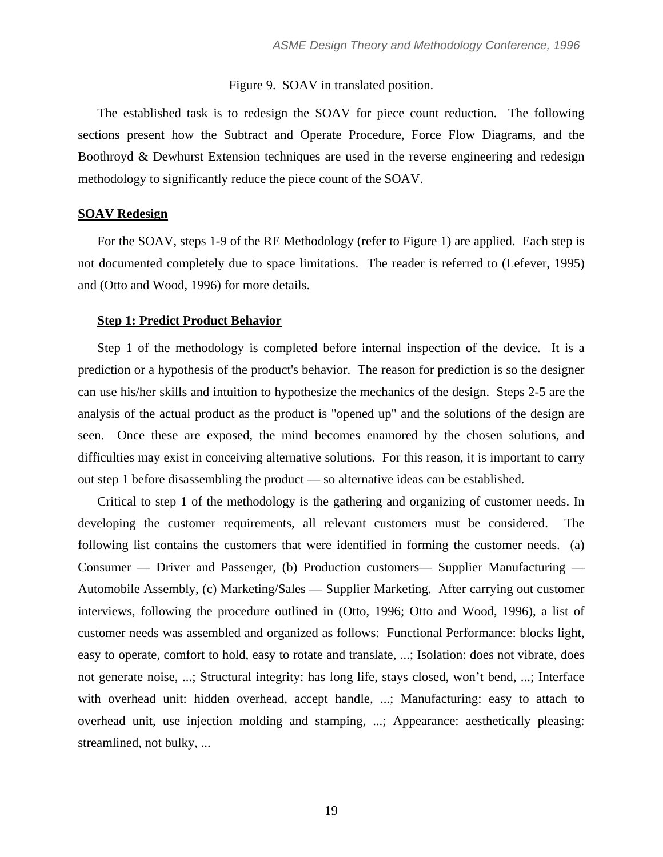# Figure 9. SOAV in translated position.

The established task is to redesign the SOAV for piece count reduction. The following sections present how the Subtract and Operate Procedure, Force Flow Diagrams, and the Boothroyd & Dewhurst Extension techniques are used in the reverse engineering and redesign methodology to significantly reduce the piece count of the SOAV.

# **SOAV Redesign**

For the SOAV, steps 1-9 of the RE Methodology (refer to Figure 1) are applied. Each step is not documented completely due to space limitations. The reader is referred to (Lefever, 1995) and (Otto and Wood, 1996) for more details.

### **Step 1: Predict Product Behavior**

Step 1 of the methodology is completed before internal inspection of the device. It is a prediction or a hypothesis of the product's behavior. The reason for prediction is so the designer can use his/her skills and intuition to hypothesize the mechanics of the design. Steps 2-5 are the analysis of the actual product as the product is "opened up" and the solutions of the design are seen. Once these are exposed, the mind becomes enamored by the chosen solutions, and difficulties may exist in conceiving alternative solutions. For this reason, it is important to carry out step 1 before disassembling the product — so alternative ideas can be established.

Critical to step 1 of the methodology is the gathering and organizing of customer needs. In developing the customer requirements, all relevant customers must be considered. The following list contains the customers that were identified in forming the customer needs. (a) Consumer — Driver and Passenger, (b) Production customers— Supplier Manufacturing — Automobile Assembly, (c) Marketing/Sales — Supplier Marketing. After carrying out customer interviews, following the procedure outlined in (Otto, 1996; Otto and Wood, 1996), a list of customer needs was assembled and organized as follows: Functional Performance: blocks light, easy to operate, comfort to hold, easy to rotate and translate, ...; Isolation: does not vibrate, does not generate noise, ...; Structural integrity: has long life, stays closed, won't bend, ...; Interface with overhead unit: hidden overhead, accept handle, ...; Manufacturing: easy to attach to overhead unit, use injection molding and stamping, ...; Appearance: aesthetically pleasing: streamlined, not bulky, ...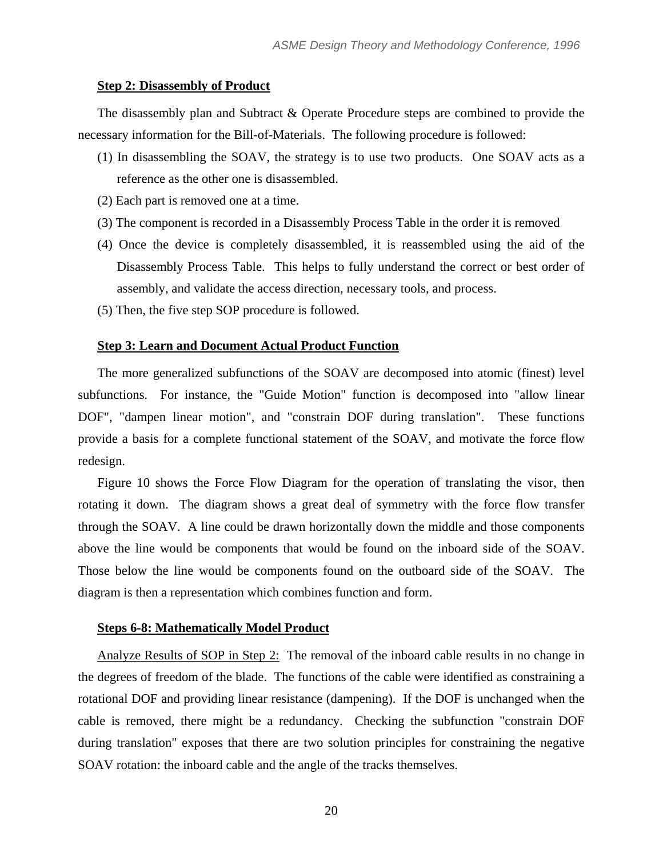#### **Step 2: Disassembly of Product**

The disassembly plan and Subtract & Operate Procedure steps are combined to provide the necessary information for the Bill-of-Materials. The following procedure is followed:

- (1) In disassembling the SOAV, the strategy is to use two products. One SOAV acts as a reference as the other one is disassembled.
- (2) Each part is removed one at a time.
- (3) The component is recorded in a Disassembly Process Table in the order it is removed
- (4) Once the device is completely disassembled, it is reassembled using the aid of the Disassembly Process Table. This helps to fully understand the correct or best order of assembly, and validate the access direction, necessary tools, and process.
- (5) Then, the five step SOP procedure is followed.

#### **Step 3: Learn and Document Actual Product Function**

The more generalized subfunctions of the SOAV are decomposed into atomic (finest) level subfunctions. For instance, the "Guide Motion" function is decomposed into "allow linear DOF", "dampen linear motion", and "constrain DOF during translation". These functions provide a basis for a complete functional statement of the SOAV, and motivate the force flow redesign.

Figure 10 shows the Force Flow Diagram for the operation of translating the visor, then rotating it down. The diagram shows a great deal of symmetry with the force flow transfer through the SOAV. A line could be drawn horizontally down the middle and those components above the line would be components that would be found on the inboard side of the SOAV. Those below the line would be components found on the outboard side of the SOAV. The diagram is then a representation which combines function and form.

#### **Steps 6-8: Mathematically Model Product**

Analyze Results of SOP in Step 2: The removal of the inboard cable results in no change in the degrees of freedom of the blade. The functions of the cable were identified as constraining a rotational DOF and providing linear resistance (dampening). If the DOF is unchanged when the cable is removed, there might be a redundancy. Checking the subfunction "constrain DOF during translation" exposes that there are two solution principles for constraining the negative SOAV rotation: the inboard cable and the angle of the tracks themselves.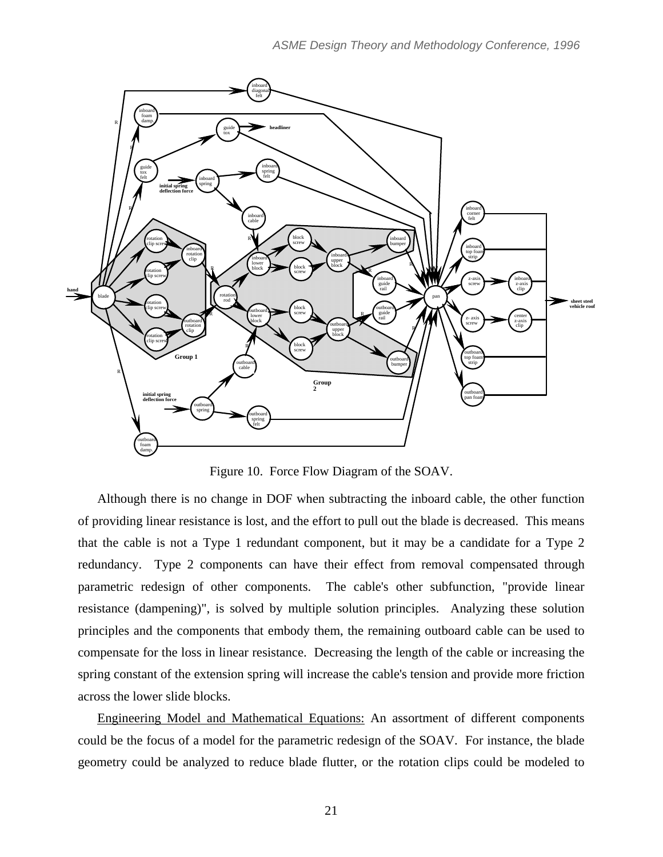

Figure 10. Force Flow Diagram of the SOAV.

Although there is no change in DOF when subtracting the inboard cable, the other function of providing linear resistance is lost, and the effort to pull out the blade is decreased. This means that the cable is not a Type 1 redundant component, but it may be a candidate for a Type 2 redundancy. Type 2 components can have their effect from removal compensated through parametric redesign of other components. The cable's other subfunction, "provide linear resistance (dampening)", is solved by multiple solution principles. Analyzing these solution principles and the components that embody them, the remaining outboard cable can be used to compensate for the loss in linear resistance. Decreasing the length of the cable or increasing the spring constant of the extension spring will increase the cable's tension and provide more friction across the lower slide blocks.

Engineering Model and Mathematical Equations: An assortment of different components could be the focus of a model for the parametric redesign of the SOAV. For instance, the blade geometry could be analyzed to reduce blade flutter, or the rotation clips could be modeled to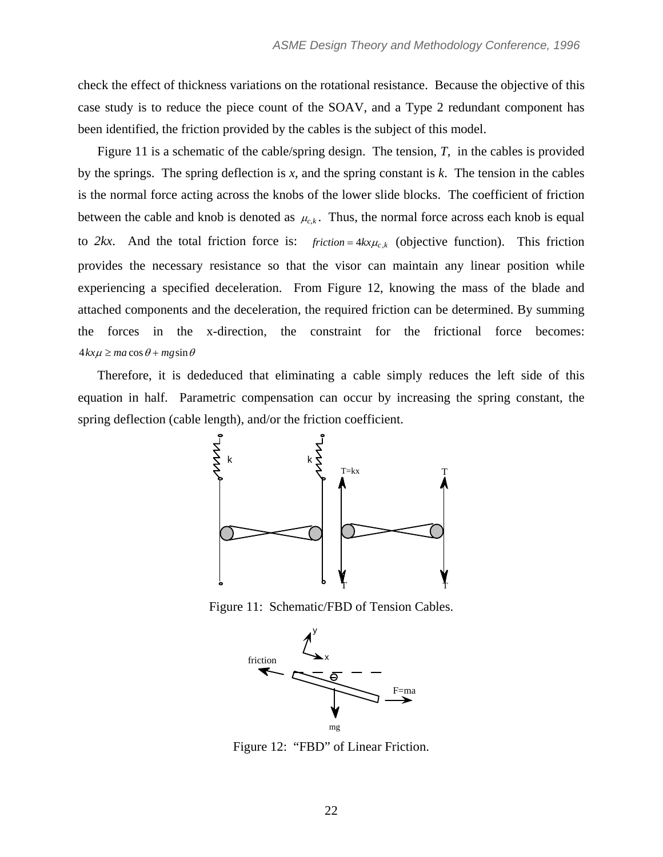check the effect of thickness variations on the rotational resistance. Because the objective of this case study is to reduce the piece count of the SOAV, and a Type 2 redundant component has been identified, the friction provided by the cables is the subject of this model.

Figure 11 is a schematic of the cable/spring design. The tension, *T*, in the cables is provided by the springs. The spring deflection is *x*, and the spring constant is *k*. The tension in the cables is the normal force acting across the knobs of the lower slide blocks. The coefficient of friction between the cable and knob is denoted as  $\mu_{c,k}$ . Thus, the normal force across each knob is equal to 2kx. And the total friction force is:  $friction = 4kx\mu_{c,k}$  (objective function). This friction provides the necessary resistance so that the visor can maintain any linear position while experiencing a specified deceleration. From Figure 12, knowing the mass of the blade and attached components and the deceleration, the required friction can be determined. By summing the forces in the x-direction, the constraint for the frictional force becomes:  $4kx\mu \ge ma\cos\theta + mg\sin\theta$ 

Therefore, it is dededuced that eliminating a cable simply reduces the left side of this equation in half. Parametric compensation can occur by increasing the spring constant, the spring deflection (cable length), and/or the friction coefficient.



Figure 11: Schematic/FBD of Tension Cables.



Figure 12: "FBD" of Linear Friction.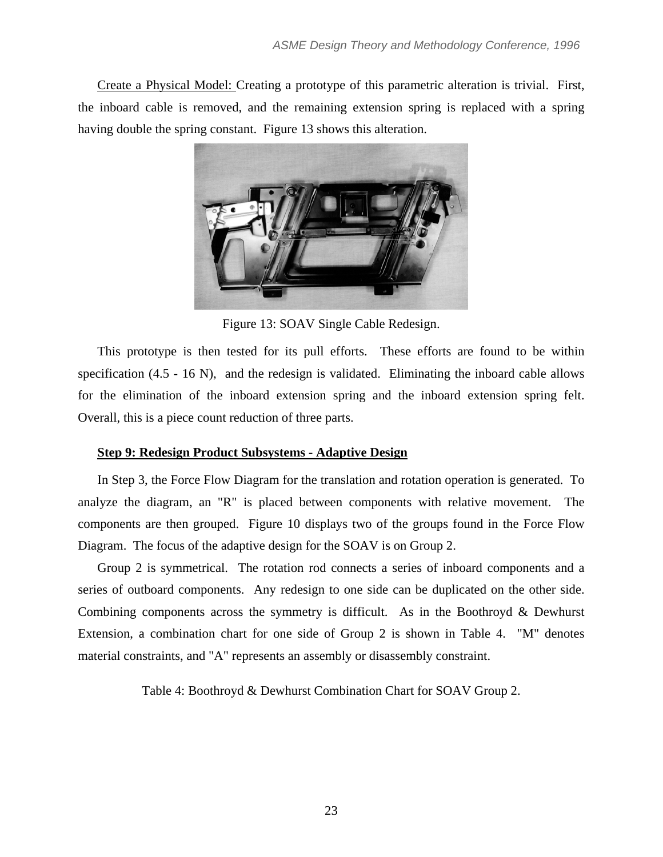Create a Physical Model: Creating a prototype of this parametric alteration is trivial. First, the inboard cable is removed, and the remaining extension spring is replaced with a spring having double the spring constant. Figure 13 shows this alteration.



Figure 13: SOAV Single Cable Redesign.

This prototype is then tested for its pull efforts. These efforts are found to be within specification (4.5 - 16 N), and the redesign is validated. Eliminating the inboard cable allows for the elimination of the inboard extension spring and the inboard extension spring felt. Overall, this is a piece count reduction of three parts.

# **Step 9: Redesign Product Subsystems - Adaptive Design**

In Step 3, the Force Flow Diagram for the translation and rotation operation is generated. To analyze the diagram, an "R" is placed between components with relative movement. The components are then grouped. Figure 10 displays two of the groups found in the Force Flow Diagram. The focus of the adaptive design for the SOAV is on Group 2.

Group 2 is symmetrical. The rotation rod connects a series of inboard components and a series of outboard components. Any redesign to one side can be duplicated on the other side. Combining components across the symmetry is difficult. As in the Boothroyd & Dewhurst Extension, a combination chart for one side of Group 2 is shown in Table 4. "M" denotes material constraints, and "A" represents an assembly or disassembly constraint.

Table 4: Boothroyd & Dewhurst Combination Chart for SOAV Group 2.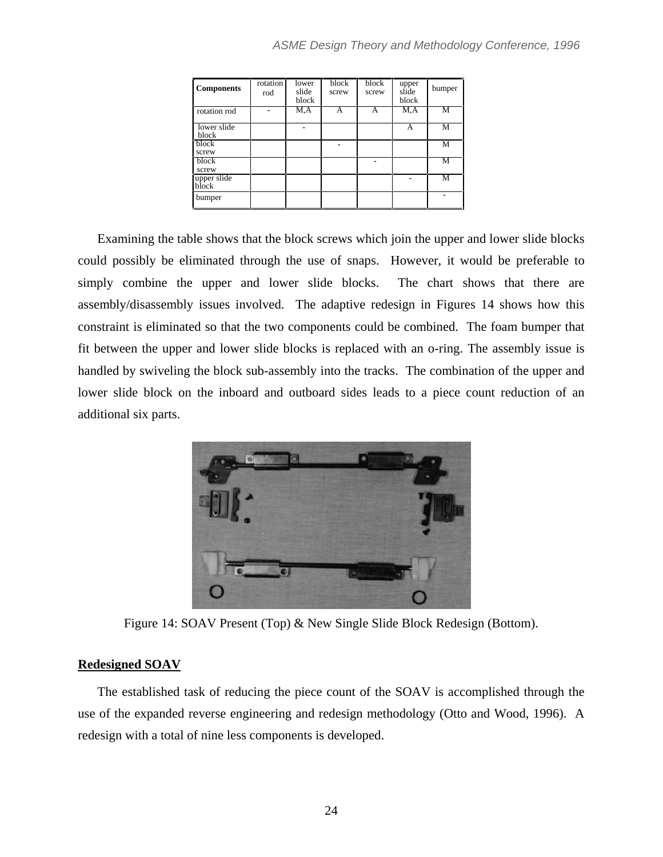| <b>Components</b>    | rotation<br>rod | lower<br>slide<br>block | block<br>screw | block<br>screw | upper<br>slide<br>block | bumper |
|----------------------|-----------------|-------------------------|----------------|----------------|-------------------------|--------|
| rotation rod         |                 | M.A                     | A              | A              | M, A                    | M      |
| lower slide<br>block |                 |                         |                |                | A                       | M      |
| block<br>screw       |                 |                         |                |                |                         | M      |
| block<br>screw       |                 |                         |                |                |                         | М      |
| upper slide<br>block |                 |                         |                |                |                         | М      |
| bumper               |                 |                         |                |                |                         |        |

Examining the table shows that the block screws which join the upper and lower slide blocks could possibly be eliminated through the use of snaps. However, it would be preferable to simply combine the upper and lower slide blocks. The chart shows that there are assembly/disassembly issues involved. The adaptive redesign in Figures 14 shows how this constraint is eliminated so that the two components could be combined. The foam bumper that fit between the upper and lower slide blocks is replaced with an o-ring. The assembly issue is handled by swiveling the block sub-assembly into the tracks. The combination of the upper and lower slide block on the inboard and outboard sides leads to a piece count reduction of an additional six parts.



Figure 14: SOAV Present (Top) & New Single Slide Block Redesign (Bottom).

# **Redesigned SOAV**

The established task of reducing the piece count of the SOAV is accomplished through the use of the expanded reverse engineering and redesign methodology (Otto and Wood, 1996). A redesign with a total of nine less components is developed.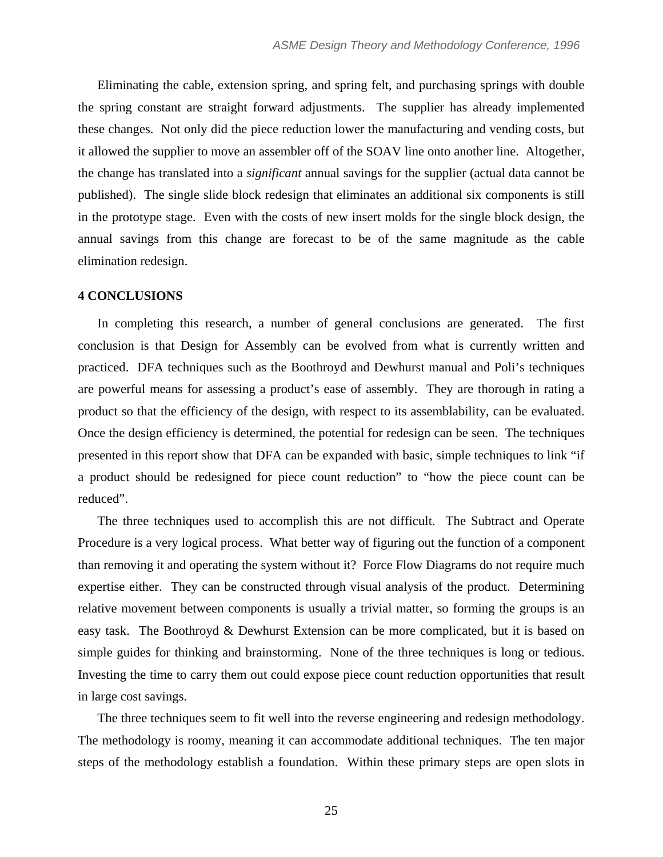Eliminating the cable, extension spring, and spring felt, and purchasing springs with double the spring constant are straight forward adjustments. The supplier has already implemented these changes. Not only did the piece reduction lower the manufacturing and vending costs, but it allowed the supplier to move an assembler off of the SOAV line onto another line. Altogether, the change has translated into a *significant* annual savings for the supplier (actual data cannot be published). The single slide block redesign that eliminates an additional six components is still in the prototype stage. Even with the costs of new insert molds for the single block design, the annual savings from this change are forecast to be of the same magnitude as the cable elimination redesign.

### **4 CONCLUSIONS**

In completing this research, a number of general conclusions are generated. The first conclusion is that Design for Assembly can be evolved from what is currently written and practiced. DFA techniques such as the Boothroyd and Dewhurst manual and Poli's techniques are powerful means for assessing a product's ease of assembly. They are thorough in rating a product so that the efficiency of the design, with respect to its assemblability, can be evaluated. Once the design efficiency is determined, the potential for redesign can be seen. The techniques presented in this report show that DFA can be expanded with basic, simple techniques to link "if a product should be redesigned for piece count reduction" to "how the piece count can be reduced".

The three techniques used to accomplish this are not difficult. The Subtract and Operate Procedure is a very logical process. What better way of figuring out the function of a component than removing it and operating the system without it? Force Flow Diagrams do not require much expertise either. They can be constructed through visual analysis of the product. Determining relative movement between components is usually a trivial matter, so forming the groups is an easy task. The Boothroyd & Dewhurst Extension can be more complicated, but it is based on simple guides for thinking and brainstorming. None of the three techniques is long or tedious. Investing the time to carry them out could expose piece count reduction opportunities that result in large cost savings.

The three techniques seem to fit well into the reverse engineering and redesign methodology. The methodology is roomy, meaning it can accommodate additional techniques. The ten major steps of the methodology establish a foundation. Within these primary steps are open slots in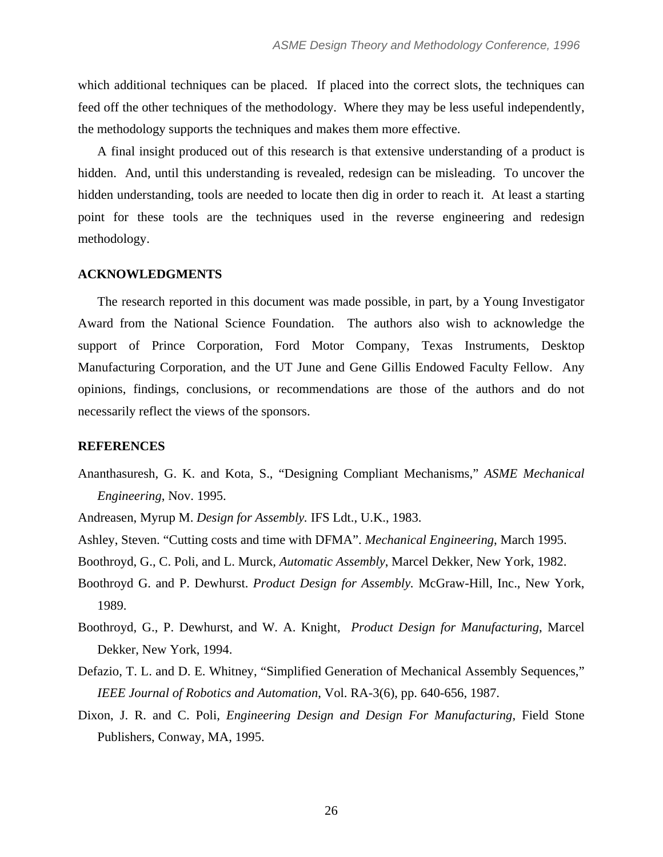which additional techniques can be placed. If placed into the correct slots, the techniques can feed off the other techniques of the methodology. Where they may be less useful independently, the methodology supports the techniques and makes them more effective.

A final insight produced out of this research is that extensive understanding of a product is hidden. And, until this understanding is revealed, redesign can be misleading. To uncover the hidden understanding, tools are needed to locate then dig in order to reach it. At least a starting point for these tools are the techniques used in the reverse engineering and redesign methodology.

### **ACKNOWLEDGMENTS**

The research reported in this document was made possible, in part, by a Young Investigator Award from the National Science Foundation. The authors also wish to acknowledge the support of Prince Corporation, Ford Motor Company, Texas Instruments, Desktop Manufacturing Corporation, and the UT June and Gene Gillis Endowed Faculty Fellow. Any opinions, findings, conclusions, or recommendations are those of the authors and do not necessarily reflect the views of the sponsors.

# **REFERENCES**

- Ananthasuresh, G. K. and Kota, S., "Designing Compliant Mechanisms," *ASME Mechanical Engineering*, Nov. 1995.
- Andreasen, Myrup M. *Design for Assembly.* IFS Ldt., U.K., 1983.
- Ashley, Steven. "Cutting costs and time with DFMA". *Mechanical Engineering*, March 1995.
- Boothroyd, G., C. Poli, and L. Murck*, Automatic Assembly*, Marcel Dekker, New York, 1982.
- Boothroyd G. and P. Dewhurst. *Product Design for Assembly.* McGraw-Hill, Inc., New York, 1989.
- Boothroyd, G., P. Dewhurst, and W. A. Knight, *Product Design for Manufacturing*, Marcel Dekker, New York, 1994.
- Defazio, T. L. and D. E. Whitney, "Simplified Generation of Mechanical Assembly Sequences," *IEEE Journal of Robotics and Automation*, Vol. RA-3(6), pp. 640-656, 1987.
- Dixon, J. R. and C. Poli, *Engineering Design and Design For Manufacturing*, Field Stone Publishers, Conway, MA, 1995.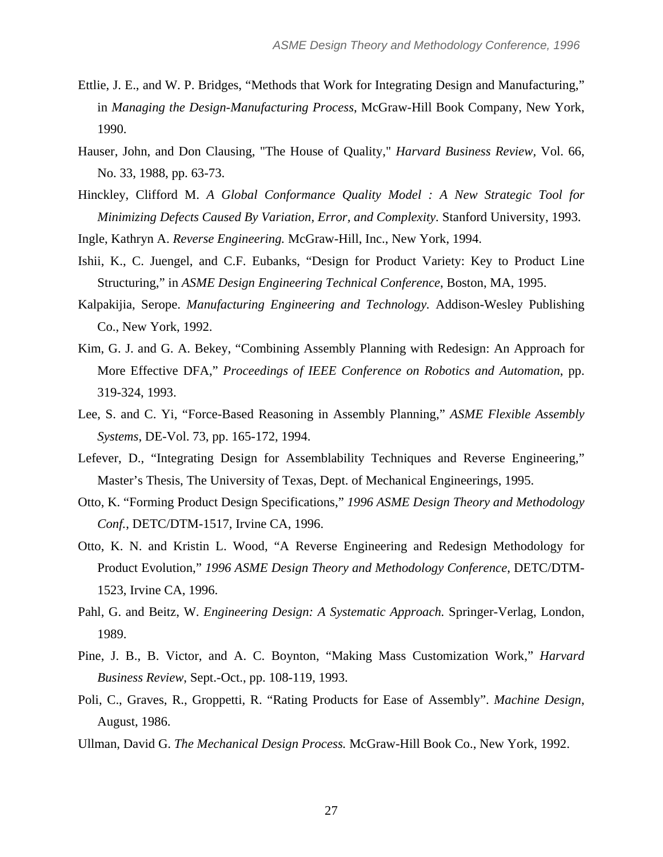- Ettlie, J. E., and W. P. Bridges, "Methods that Work for Integrating Design and Manufacturing," in *Managing the Design-Manufacturing Process*, McGraw-Hill Book Company, New York, 1990.
- Hauser, John, and Don Clausing, "The House of Quality," *Harvard Business Review,* Vol. 66, No. 33, 1988, pp. 63-73.
- Hinckley, Clifford M. *A Global Conformance Quality Model : A New Strategic Tool for Minimizing Defects Caused By Variation, Error, and Complexity.* Stanford University, 1993.
- Ingle, Kathryn A. *Reverse Engineering.* McGraw-Hill, Inc., New York, 1994.
- Ishii, K., C. Juengel, and C.F. Eubanks, "Design for Product Variety: Key to Product Line Structuring," in *ASME Design Engineering Technical Conference*, Boston, MA, 1995.
- Kalpakijia, Serope. *Manufacturing Engineering and Technology.* Addison-Wesley Publishing Co., New York, 1992.
- Kim, G. J. and G. A. Bekey, "Combining Assembly Planning with Redesign: An Approach for More Effective DFA," *Proceedings of IEEE Conference on Robotics and Automation*, pp. 319-324, 1993.
- Lee, S. and C. Yi, "Force-Based Reasoning in Assembly Planning," *ASME Flexible Assembly Systems*, DE-Vol. 73, pp. 165-172, 1994.
- Lefever, D., "Integrating Design for Assemblability Techniques and Reverse Engineering," Master's Thesis, The University of Texas, Dept. of Mechanical Engineerings, 1995.
- Otto, K. "Forming Product Design Specifications," *1996 ASME Design Theory and Methodology Conf.*, DETC/DTM-1517, Irvine CA, 1996.
- Otto, K. N. and Kristin L. Wood, "A Reverse Engineering and Redesign Methodology for Product Evolution," *1996 ASME Design Theory and Methodology Conference*, DETC/DTM-1523, Irvine CA, 1996.
- Pahl, G. and Beitz, W. *Engineering Design: A Systematic Approach.* Springer-Verlag, London, 1989.
- Pine, J. B., B. Victor, and A. C. Boynton, "Making Mass Customization Work," *Harvard Business Review*, Sept.-Oct., pp. 108-119, 1993.
- Poli, C., Graves, R., Groppetti, R. "Rating Products for Ease of Assembly". *Machine Design*, August, 1986.
- Ullman, David G. *The Mechanical Design Process.* McGraw-Hill Book Co., New York, 1992.